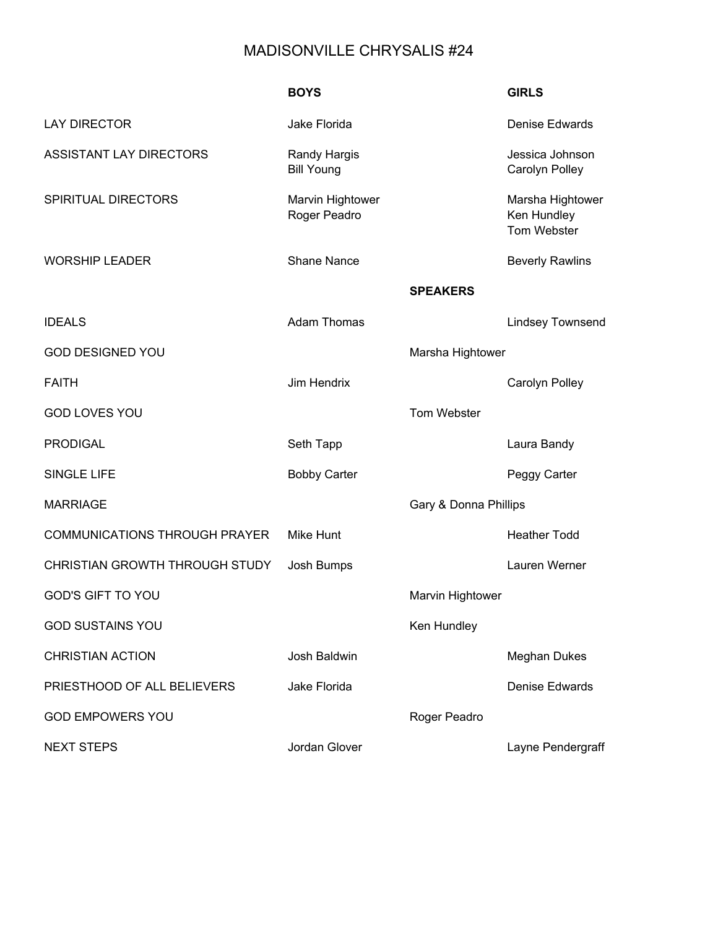## MADISONVILLE CHRYSALIS #24

|                                      | <b>BOYS</b>                              |                       | <b>GIRLS</b>                                   |
|--------------------------------------|------------------------------------------|-----------------------|------------------------------------------------|
| <b>LAY DIRECTOR</b>                  | Jake Florida                             |                       | Denise Edwards                                 |
| <b>ASSISTANT LAY DIRECTORS</b>       | <b>Randy Hargis</b><br><b>Bill Young</b> |                       | Jessica Johnson<br>Carolyn Polley              |
| SPIRITUAL DIRECTORS                  | Marvin Hightower<br>Roger Peadro         |                       | Marsha Hightower<br>Ken Hundley<br>Tom Webster |
| <b>WORSHIP LEADER</b>                | <b>Shane Nance</b>                       |                       | <b>Beverly Rawlins</b>                         |
|                                      |                                          | <b>SPEAKERS</b>       |                                                |
| <b>IDEALS</b>                        | <b>Adam Thomas</b>                       |                       | <b>Lindsey Townsend</b>                        |
| <b>GOD DESIGNED YOU</b>              |                                          | Marsha Hightower      |                                                |
| <b>FAITH</b>                         | Jim Hendrix                              |                       | Carolyn Polley                                 |
| <b>GOD LOVES YOU</b>                 |                                          | Tom Webster           |                                                |
| <b>PRODIGAL</b>                      | Seth Tapp                                |                       | Laura Bandy                                    |
| <b>SINGLE LIFE</b>                   | <b>Bobby Carter</b>                      |                       | Peggy Carter                                   |
| <b>MARRIAGE</b>                      |                                          | Gary & Donna Phillips |                                                |
| <b>COMMUNICATIONS THROUGH PRAYER</b> | <b>Mike Hunt</b>                         |                       | <b>Heather Todd</b>                            |
| CHRISTIAN GROWTH THROUGH STUDY       | Josh Bumps                               |                       | Lauren Werner                                  |
| <b>GOD'S GIFT TO YOU</b>             |                                          | Marvin Hightower      |                                                |
| <b>GOD SUSTAINS YOU</b>              |                                          | Ken Hundley           |                                                |
| <b>CHRISTIAN ACTION</b>              | <b>Josh Baldwin</b>                      |                       | <b>Meghan Dukes</b>                            |
| PRIESTHOOD OF ALL BELIEVERS          | Jake Florida                             |                       | <b>Denise Edwards</b>                          |
| <b>GOD EMPOWERS YOU</b>              |                                          | Roger Peadro          |                                                |
| <b>NEXT STEPS</b>                    | Jordan Glover                            |                       | Layne Pendergraff                              |